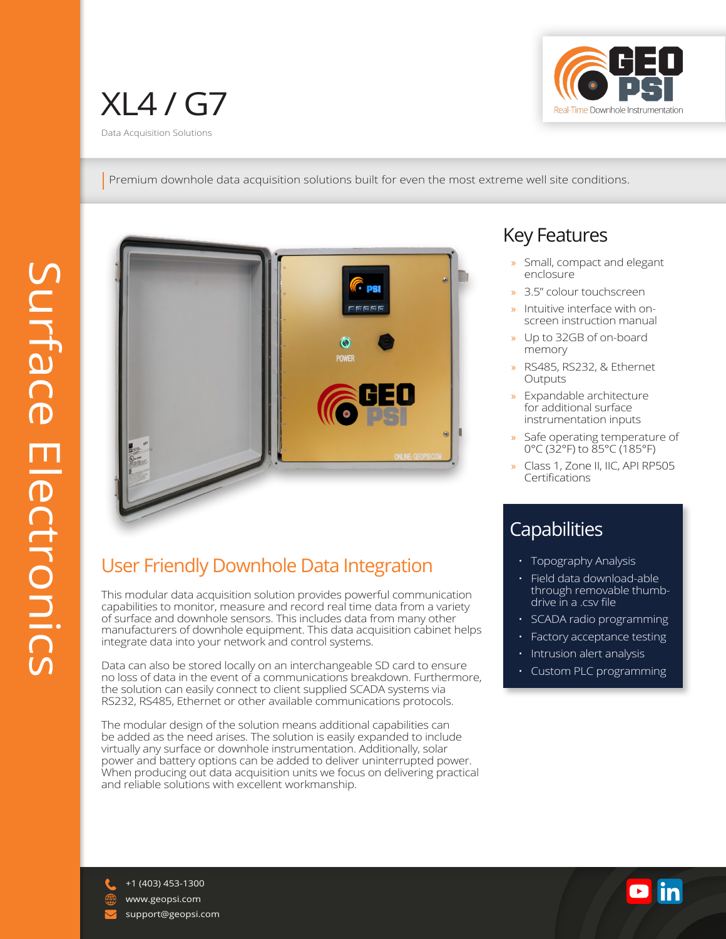

Premium downhole data acquisition solutions built for even the most extreme well site conditions.



## User Friendly Downhole Data Integration

This modular data acquisition solution provides powerful communication capabilities to monitor, measure and record real time data from a variety of surface and downhole sensors. This includes data from many other manufacturers of downhole equipment. This data acquisition cabinet helps integrate data into your network and control systems.

Data can also be stored locally on an interchangeable SD card to ensure no loss of data in the event of a communications breakdown. Furthermore, the solution can easily connect to client supplied SCADA systems via RS232, RS485, Ethernet or other available communications protocols.

The modular design of the solution means additional capabilities can be added as the need arises. The solution is easily expanded to include virtually any surface or downhole instrumentation. Additionally, solar power and battery options can be added to deliver uninterrupted power. When producing out data acquisition units we focus on delivering practical and reliable solutions with excellent workmanship.

# Key Features

- Small, compact and elegant enclosure
- » 3.5" colour touchscreen
- » Intuitive interface with onscreen instruction manual
- » Up to 32GB of on-board memory
- » RS485, RS232, & Ethernet **Outputs**
- » Expandable architecture for additional surface instrumentation inputs
- Safe operating temperature of 0°C (32°F) to 85°C (185°F)
- » Class 1, Zone II, IIC, API RP505 **Certifications**

### **Capabilities**

- Topography Analysis
- Field data download-able through removable thumbdrive in a .csv file
- SCADA radio programming
- Factory acceptance testing
- Intrusion alert analysis
- Custom PLC programming



+1 (403) 453-1300 support@geopsi.com www.geopsi.com